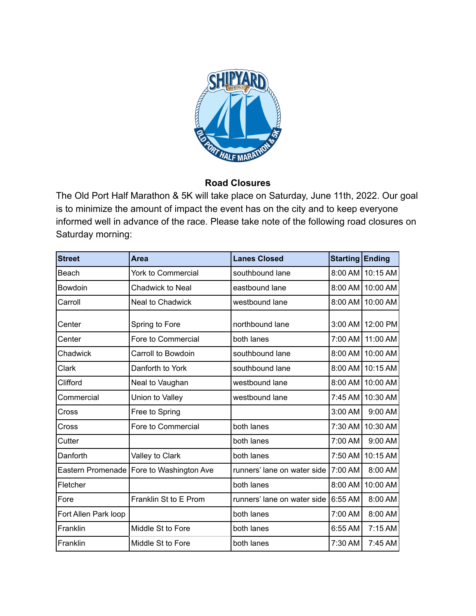

## **Road Closures**

The Old Port Half Marathon & 5K will take place on Saturday, June 11th, 2022. Our goal is to minimize the amount of impact the event has on the city and to keep everyone informed well in advance of the race. Please take note of the following road closures on Saturday morning:

| <b>Street</b>        | Area                                       | <b>Lanes Closed</b>         | <b>Starting</b> | <b>Ending</b>    |
|----------------------|--------------------------------------------|-----------------------------|-----------------|------------------|
| Beach                | York to Commercial                         | southbound lane             | 8:00 AM         | 10:15 AM         |
| Bowdoin              | <b>Chadwick to Neal</b>                    | eastbound lane              |                 | 8:00 AM 10:00 AM |
| Carroll              | Neal to Chadwick                           | westbound lane              | 8:00 AM         | 10:00 AM         |
| Center               | Spring to Fore                             | northbound lane             | 3:00 AM         | 12:00 PM         |
| Center               | Fore to Commercial                         | both lanes                  | 7:00 AM         | 11:00 AM         |
| Chadwick             | Carroll to Bowdoin                         | southbound lane             | 8:00 AM         | 10:00 AM         |
| Clark                | Danforth to York                           | southbound lane             | 8:00 AM         | 10:15 AM         |
| Clifford             | Neal to Vaughan                            | westbound lane              | 8:00 AM         | 10:00 AM         |
| Commercial           | Union to Valley                            | westbound lane              | 7:45 AM         | 10:30 AM         |
| Cross                | Free to Spring                             |                             | 3:00 AM         | 9:00 AM          |
| Cross                | Fore to Commercial                         | both lanes                  | 7:30 AM         | 10:30 AM         |
| Cutter               |                                            | both lanes                  | 7:00 AM         | 9:00 AM          |
| Danforth             | Valley to Clark                            | both lanes                  | 7:50 AM         | 10:15 AM         |
|                      | Eastern Promenade   Fore to Washington Ave | runners' lane on water side | 7:00 AM         | 8:00 AM          |
| Fletcher             |                                            | both lanes                  | 8:00 AM         | 10:00 AM         |
| Fore                 | Franklin St to E Prom                      | runners' lane on water side | 6:55 AM         | 8:00 AM          |
| Fort Allen Park loop |                                            | both lanes                  | 7:00 AM         | 8:00 AM          |
| Franklin             | Middle St to Fore                          | both lanes                  | 6:55 AM         | 7:15 AM          |
| Franklin             | Middle St to Fore                          | both lanes                  | 7:30 AM         | 7:45 AM          |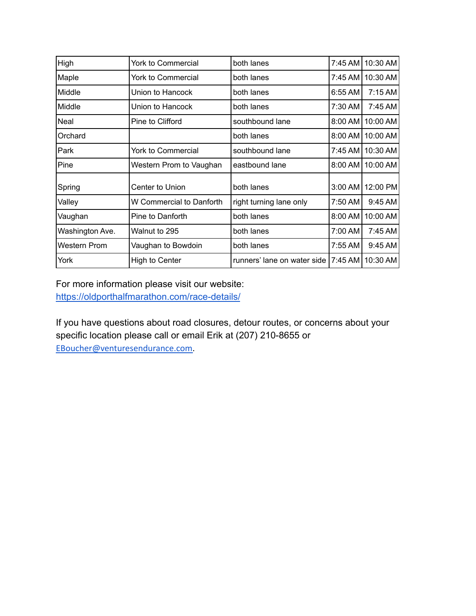| High            | <b>York to Commercial</b> | both lanes                  |           | 7:45 AM 10:30 AM   |
|-----------------|---------------------------|-----------------------------|-----------|--------------------|
| Maple           | York to Commercial        | both lanes                  |           | 7:45 AM   10:30 AM |
| Middle          | Union to Hancock          | both lanes                  | 6:55 AM l | 7:15AM             |
| Middle          | Union to Hancock          | both lanes                  | 7:30 AM   | 7:45 AM            |
| Neal            | Pine to Clifford          | southbound lane             |           | 8:00 AM   10:00 AM |
| Orchard         |                           | both lanes                  |           | 8:00 AM   10:00 AM |
| Park            | York to Commercial        | southbound lane             |           | 7:45 AM   10:30 AM |
| Pine            | Western Prom to Vaughan   | eastbound lane              |           | 8:00 AM   10:00 AM |
| Spring          | Center to Union           | both lanes                  |           | 3:00 AM 12:00 PM   |
| Valley          | W Commercial to Danforth  | right turning lane only     | 7:50 AM   | 9:45 AM            |
| Vaughan         | Pine to Danforth          | both lanes                  | 8:00 AM   | 10:00 AM           |
| Washington Ave. | Walnut to 295             | both lanes                  | 7:00 AM   | 7:45 AM            |
| Western Prom    | Vaughan to Bowdoin        | both lanes                  | 7:55 AM   | 9:45 AM            |
| York            | High to Center            | runners' lane on water side |           | 7:45 AM   10:30 AM |

For more information please visit our website: <https://oldporthalfmarathon.com/race-details/>

If you have questions about road closures, detour routes, or concerns about your specific location please call or email Erik at (207) 210-8655 or [EBoucher@venturesendurance.com](mailto:EBoucher@venturesendurance.com).